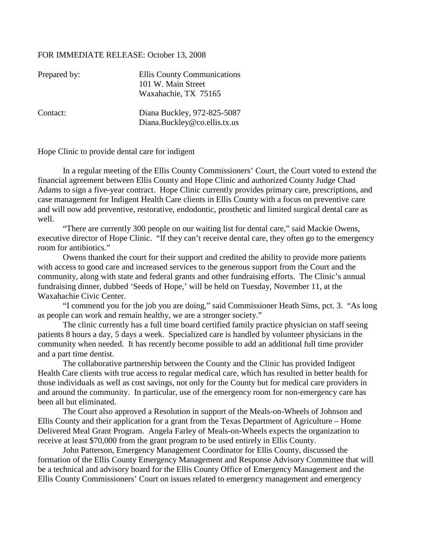## FOR IMMEDIATE RELEASE: October 13, 2008

| Prepared by: | Ellis County Communications<br>101 W. Main Street<br>Waxahachie, TX 75165 |
|--------------|---------------------------------------------------------------------------|
| Contact:     | Diana Buckley, 972-825-5087<br>Diana.Buckley@co.ellis.tx.us               |

Hope Clinic to provide dental care for indigent

In a regular meeting of the Ellis County Commissioners' Court, the Court voted to extend the financial agreement between Ellis County and Hope Clinic and authorized County Judge Chad Adams to sign a five-year contract. Hope Clinic currently provides primary care, prescriptions, and case management for Indigent Health Care clients in Ellis County with a focus on preventive care and will now add preventive, restorative, endodontic, prosthetic and limited surgical dental care as well.

"There are currently 300 people on our waiting list for dental care," said Mackie Owens, executive director of Hope Clinic. "If they can't receive dental care, they often go to the emergency room for antibiotics."

Owens thanked the court for their support and credited the ability to provide more patients with access to good care and increased services to the generous support from the Court and the community, along with state and federal grants and other fundraising efforts. The Clinic's annual fundraising dinner, dubbed 'Seeds of Hope,' will be held on Tuesday, November 11, at the Waxahachie Civic Center.

"I commend you for the job you are doing," said Commissioner Heath Sims, pct. 3. "As long as people can work and remain healthy, we are a stronger society."

The clinic currently has a full time board certified family practice physician on staff seeing patients 8 hours a day, 5 days a week. Specialized care is handled by volunteer physicians in the community when needed. It has recently become possible to add an additional full time provider and a part time dentist.

The collaborative partnership between the County and the Clinic has provided Indigent Health Care clients with true access to regular medical care, which has resulted in better health for those individuals as well as cost savings, not only for the County but for medical care providers in and around the community. In particular, use of the emergency room for non-emergency care has been all but eliminated.

The Court also approved a Resolution in support of the Meals-on-Wheels of Johnson and Ellis County and their application for a grant from the Texas Department of Agriculture – Home Delivered Meal Grant Program. Angela Farley of Meals-on-Wheels expects the organization to receive at least \$70,000 from the grant program to be used entirely in Ellis County.

John Patterson, Emergency Management Coordinator for Ellis County, discussed the formation of the Ellis County Emergency Management and Response Advisory Committee that will be a technical and advisory board for the Ellis County Office of Emergency Management and the Ellis County Commissioners' Court on issues related to emergency management and emergency